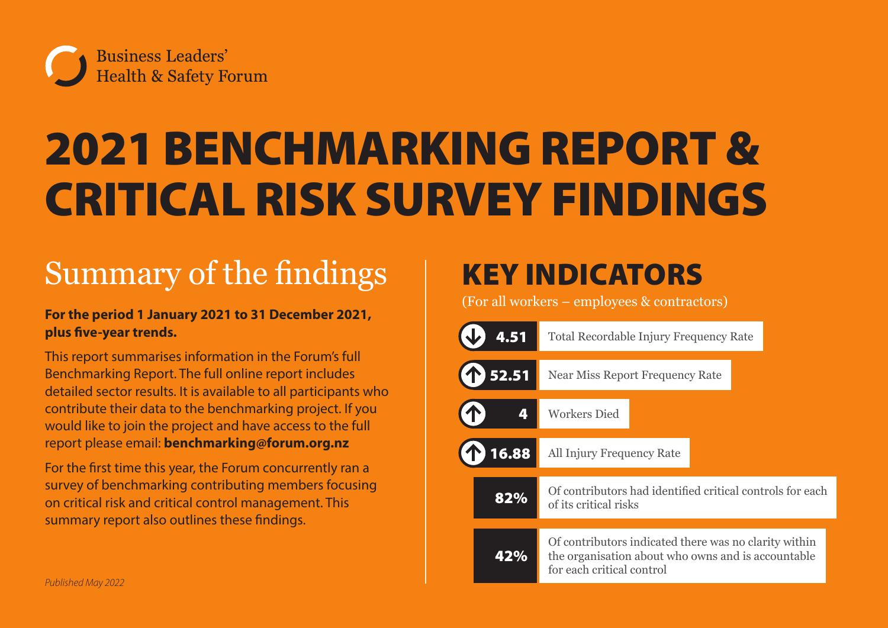

# 2021 BENCHMARKING REPORT & CRITICAL RISK SURVEY FINDINGS

# Summary of the findings

#### **For the period 1 January 2021 to 31 December 2021, plus five-year trends.**

This report summarises information in the Forum's full Benchmarking Report. The full online report includes detailed sector results. It is available to all participants who contribute their data to the benchmarking project. If you would like to join the project and have access to the full report please email: **[benchmarking@forum.org.nz](mailto:benchmarking%40forum.org.nz?subject=Forum%20Benchmarking%20Report%202021%20)**

For the first time this year, the Forum concurrently ran a survey of benchmarking contributing members focusing on critical risk and critical control management. This summary report also outlines these findings.

# KEY INDICATORS

(For all workers – employees & contractors)

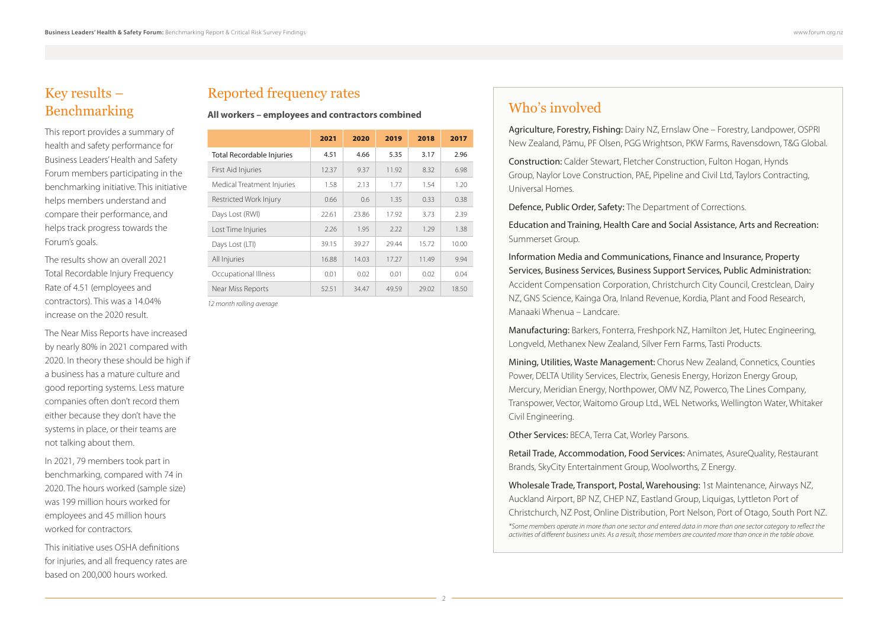#### Key results – Benchmarking

This report provides a summary of health and safety performance for Business Leaders' Health and Safety Forum members participating in the benchmarking initiative. This initiative helps members understand and compare their performance, and helps track progress towards the Forum's goals.

The results show an overall 2021 Total Recordable Injury Frequency Rate of 4.51 (employees and contractors). This was a 14.04% increase on the 2020 result.

The Near Miss Reports have increased by nearly 80% in 2021 compared with 2020. In theory these should be high if a business has a mature culture and good reporting systems. Less mature companies often don't record them either because they don't have the systems in place, or their teams are not talking about them.

In 2021, 79 members took part in benchmarking, compared with 74 in 2020. The hours worked (sample size) was 199 million hours worked for employees and 45 million hours worked for contractors.

This initiative uses OSHA definitions for injuries, and all frequency rates are based on 200,000 hours worked.

#### Reported frequency rates

**All workers – employees and contractors combined** 

|                            | 2021  | 2020  | 2019  | 2018  | 2017  |
|----------------------------|-------|-------|-------|-------|-------|
| Total Recordable Injuries  | 4.51  | 4.66  | 5.35  | 3.17  | 2.96  |
| First Aid Injuries         | 12.37 | 9.37  | 11.92 | 8.32  | 6.98  |
| Medical Treatment Injuries | 1.58  | 2.13  | 1.77  | 1.54  | 1.20  |
| Restricted Work Injury     | 0.66  | 0.6   | 1.35  | 0.33  | 0.38  |
| Days Lost (RWI)            | 22.61 | 23.86 | 17.92 | 3.73  | 2.39  |
| Lost Time Injuries         | 2.26  | 1.95  | 7.77  | 1.29  | 1.38  |
| Days Lost (LTI)            | 39.15 | 39.27 | 29.44 | 15.72 | 10.00 |
| All Injuries               | 16.88 | 14.03 | 17.27 | 11.49 | 9.94  |
| Occupational Illness       | 0.01  | 0.02  | 0.01  | 0.02  | 0.04  |
| Near Miss Reports          | 52.51 | 34.47 | 49.59 | 29.02 | 18.50 |

*12 month rolling average*

#### Who's involved

Agriculture, Forestry, Fishing: Dairy NZ, Ernslaw One – Forestry, Landpower, OSPRI New Zealand, Pāmu, PF Olsen, PGG Wrightson, PKW Farms, Ravensdown, T&G Global.

Construction: Calder Stewart, Fletcher Construction, Fulton Hogan, Hynds Group, Naylor Love Construction, PAE, Pipeline and Civil Ltd, Taylors Contracting, Universal Homes.

Defence, Public Order, Safety: The Department of Corrections.

Education and Training, Health Care and Social Assistance, Arts and Recreation: Summerset Group.

Information Media and Communications, Finance and Insurance, Property Services, Business Services, Business Support Services, Public Administration: Accident Compensation Corporation, Christchurch City Council, Crestclean, Dairy NZ, GNS Science, Kainga Ora, Inland Revenue, Kordia, Plant and Food Research, Manaaki Whenua – Landcare.

Manufacturing: Barkers, Fonterra, Freshpork NZ, Hamilton Jet, Hutec Engineering, Longveld, Methanex New Zealand, Silver Fern Farms, Tasti Products.

Mining, Utilities, Waste Management: Chorus New Zealand, Connetics, Counties Power, DELTA Utility Services, Electrix, Genesis Energy, Horizon Energy Group, Mercury, Meridian Energy, Northpower, OMV NZ, Powerco, The Lines Company, Transpower, Vector, Waitomo Group Ltd., WEL Networks, Wellington Water, Whitaker Civil Engineering.

Other Services: BECA, Terra Cat, Worley Parsons.

Retail Trade, Accommodation, Food Services: Animates, AsureQuality, Restaurant Brands, SkyCity Entertainment Group, Woolworths, Z Energy.

Wholesale Trade, Transport, Postal, Warehousing: 1st Maintenance, Airways NZ, Auckland Airport, BP NZ, CHEP NZ, Eastland Group, Liquigas, Lyttleton Port of Christchurch, NZ Post, Online Distribution, Port Nelson, Port of Otago, South Port NZ.

*\*Some members operate in more than one sector and entered data in more than one sector category to reflect the activities of different business units. As a result, those members are counted more than once in the table above.*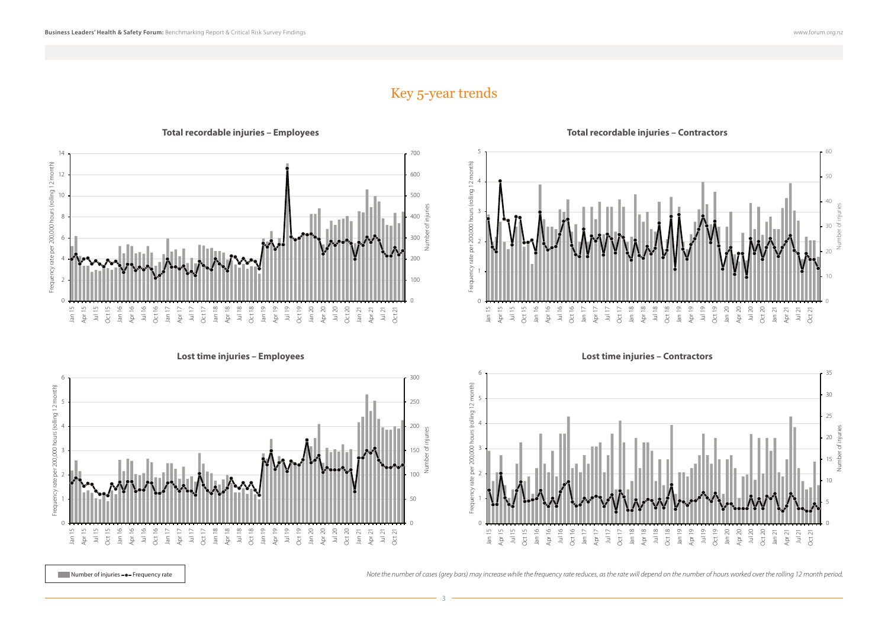Number of injuries

#### Key 5-year trends

Frequency rate per 200,000 hours (rolling 12 month)

requency rate per 200,000 hours (rolling 12 month)

3





0 10 20 30 40 50 60 0 1 2 3 4 5

n sa cheangail ann an cheangaire ann an cheangail airs an cheangail airs an cheangail airs an cheangail airs a<br>A pairt d'aig beach a bhaile airs an cheangail airs an cheangail airs an cheangail airs an cheangail airs an c

**Total recordable injuries – Employees Total recordable injuries – Contractors**



Number of injuries **--** Frequency rate **and the intervent of cases** (grey bars) may increase while the frequency rate reduces, as the rate will depend on the number of hours worked over the rolling 12 month period.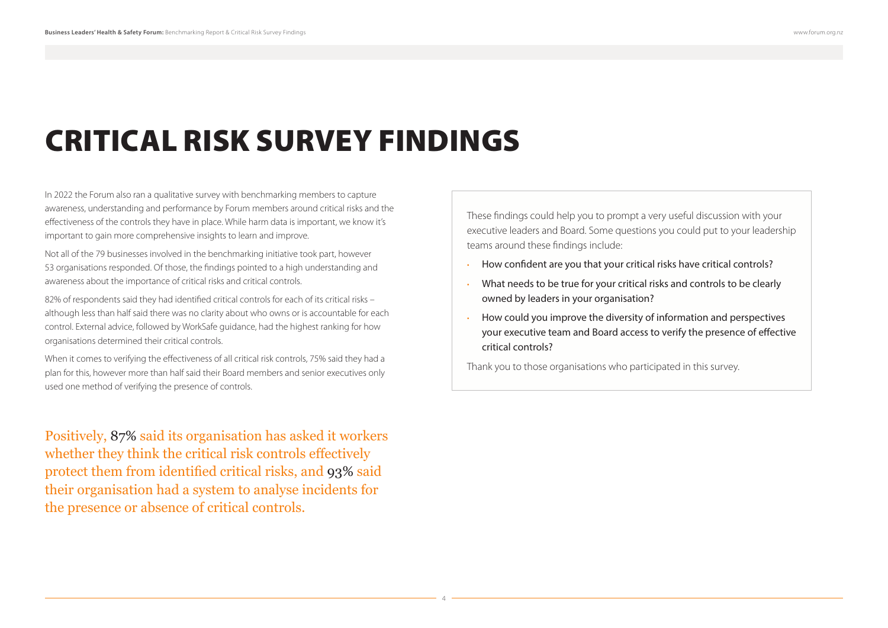# CRITICAL RISK SURVEY FINDINGS

In 2022 the Forum also ran a qualitative survey with benchmarking members to capture awareness, understanding and performance by Forum members around critical risks and the effectiveness of the controls they have in place. While harm data is important, we know it's important to gain more comprehensive insights to learn and improve.

Not all of the 79 businesses involved in the benchmarking initiative took part, however 53 organisations responded. Of those, the findings pointed to a high understanding and awareness about the importance of critical risks and critical controls.

82% of respondents said they had identified critical controls for each of its critical risks – although less than half said there was no clarity about who owns or is accountable for each control. External advice, followed by WorkSafe guidance, had the highest ranking for how organisations determined their critical controls.

When it comes to verifying the effectiveness of all critical risk controls, 75% said they had a plan for this, however more than half said their Board members and senior executives only used one method of verifying the presence of controls.

Positively, 87% said its organisation has asked it workers whether they think the critical risk controls effectively protect them from identified critical risks, and 93% said their organisation had a system to analyse incidents for the presence or absence of critical controls.

These findings could help you to prompt a very useful discussion with your executive leaders and Board. Some questions you could put to your leadership teams around these findings include:

- How confident are you that your critical risks have critical controls?
- What needs to be true for your critical risks and controls to be clearly owned by leaders in your organisation?
- How could you improve the diversity of information and perspectives your executive team and Board access to verify the presence of effective critical controls?

Thank you to those organisations who participated in this survey.